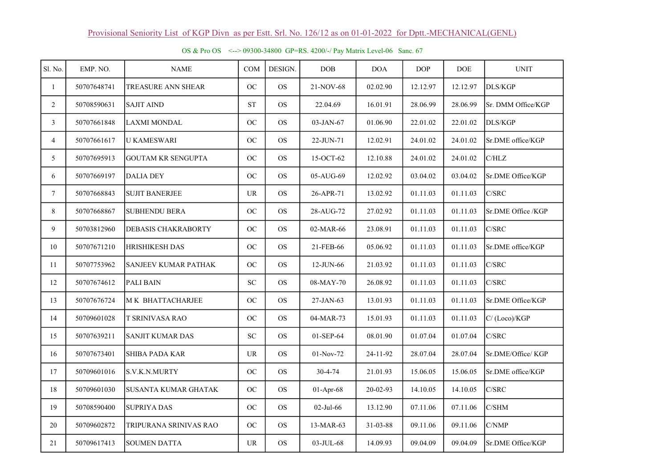| Sl. No.         | EMP. NO.    | <b>NAME</b>                 | COM                               | DESIGN.   | DOB          | <b>DOA</b> | <b>DOP</b> | <b>DOE</b> | <b>UNIT</b>        |
|-----------------|-------------|-----------------------------|-----------------------------------|-----------|--------------|------------|------------|------------|--------------------|
| $\mathbf{1}$    | 50707648741 | TREASURE ANN SHEAR          | OC                                | <b>OS</b> | 21-NOV-68    | 02.02.90   | 12.12.97   | 12.12.97   | DLS/KGP            |
| $\overline{2}$  | 50708590631 | <b>SAJIT AIND</b>           | ${\cal S}{\cal T}$                | <b>OS</b> | 22.04.69     | 16.01.91   | 28.06.99   | 28.06.99   | Sr. DMM Office/KGP |
| $\mathfrak{Z}$  | 50707661848 | <b>LAXMI MONDAL</b>         | OC                                | <b>OS</b> | 03-JAN-67    | 01.06.90   | 22.01.02   | 22.01.02   | <b>DLS/KGP</b>     |
| $\overline{4}$  | 50707661617 | <b>U KAMESWARI</b>          | OC                                | <b>OS</b> | 22-JUN-71    | 12.02.91   | 24.01.02   | 24.01.02   | Sr.DME office/KGP  |
| 5               | 50707695913 | <b>GOUTAM KR SENGUPTA</b>   | OC                                | <b>OS</b> | 15-OCT-62    | 12.10.88   | 24.01.02   | 24.01.02   | C/HLZ              |
| 6               | 50707669197 | <b>DALIA DEY</b>            | OC                                | <b>OS</b> | 05-AUG-69    | 12.02.92   | 03.04.02   | 03.04.02   | Sr.DME Office/KGP  |
| $7\phantom{.0}$ | 50707668843 | <b>SUJIT BANERJEE</b>       | <b>UR</b>                         | <b>OS</b> | 26-APR-71    | 13.02.92   | 01.11.03   | 01.11.03   | C/SRC              |
| 8               | 50707668867 | <b>SUBHENDU BERA</b>        | OC                                | <b>OS</b> | 28-AUG-72    | 27.02.92   | 01.11.03   | 01.11.03   | Sr.DME Office /KGP |
| 9               | 50703812960 | DEBASIS CHAKRABORTY         | OC                                | <b>OS</b> | 02-MAR-66    | 23.08.91   | 01.11.03   | 01.11.03   | C/SRC              |
| 10              | 50707671210 | <b>HRISHIKESH DAS</b>       | OC                                | <b>OS</b> | 21-FEB-66    | 05.06.92   | 01.11.03   | 01.11.03   | Sr.DME office/KGP  |
| 11              | 50707753962 | <b>SANJEEV KUMAR PATHAK</b> | OC                                | <b>OS</b> | 12-JUN-66    | 21.03.92   | 01.11.03   | 01.11.03   | C/SRC              |
| 12              | 50707674612 | <b>PALI BAIN</b>            | ${\rm SC}$                        | <b>OS</b> | 08-MAY-70    | 26.08.92   | 01.11.03   | 01.11.03   | C/SRC              |
| 13              | 50707676724 | M K BHATTACHARJEE           | OC                                | <b>OS</b> | 27-JAN-63    | 13.01.93   | 01.11.03   | 01.11.03   | Sr.DME Office/KGP  |
| 14              | 50709601028 | <b>T SRINIVASA RAO</b>      | OC                                | <b>OS</b> | 04-MAR-73    | 15.01.93   | 01.11.03   | 01.11.03   | C/(Loco)/KGP       |
| 15              | 50707639211 | <b>SANJIT KUMAR DAS</b>     | ${\rm SC}$                        | <b>OS</b> | 01-SEP-64    | 08.01.90   | 01.07.04   | 01.07.04   | C/SRC              |
| 16              | 50707673401 | <b>SHIBA PADA KAR</b>       | UR                                | <b>OS</b> | 01-Nov-72    | 24-11-92   | 28.07.04   | 28.07.04   | Sr.DME/Office/KGP  |
| 17              | 50709601016 | S.V.K.N.MURTY               | OC                                | <b>OS</b> | 30-4-74      | 21.01.93   | 15.06.05   | 15.06.05   | Sr.DME office/KGP  |
| 18              | 50709601030 | <b>SUSANTA KUMAR GHATAK</b> | OC                                | <b>OS</b> | 01-Apr-68    | 20-02-93   | 14.10.05   | 14.10.05   | C/SRC              |
| 19              | 50708590400 | <b>SUPRIYA DAS</b>          | OC                                | <b>OS</b> | $02$ -Jul-66 | 13.12.90   | 07.11.06   | 07.11.06   | C/SHM              |
| 20              | 50709602872 | TRIPURANA SRINIVAS RAO      | OC                                | <b>OS</b> | 13-MAR-63    | 31-03-88   | 09.11.06   | 09.11.06   | C/NMP              |
| 21              | 50709617413 | <b>SOUMEN DATTA</b>         | $\ensuremath{\mathsf{UR}}\xspace$ | <b>OS</b> | 03-JUL-68    | 14.09.93   | 09.04.09   | 09.04.09   | Sr.DME Office/KGP  |

OS & Pro OS <--> 09300-34800 GP=RS. 4200/-/ Pay Matrix Level-06 Sanc. 67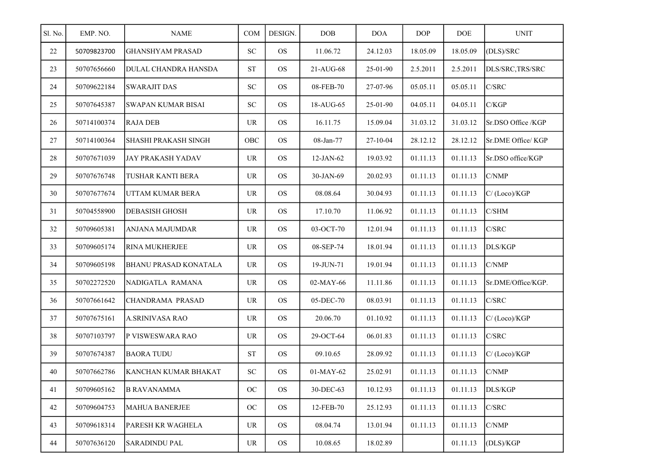| Sl. No. | EMP. NO.    | <b>NAME</b>                 | COM                               | DESIGN.   | <b>DOB</b>  | <b>DOA</b> | <b>DOP</b> | DOE      | <b>UNIT</b>        |
|---------|-------------|-----------------------------|-----------------------------------|-----------|-------------|------------|------------|----------|--------------------|
| 22      | 50709823700 | <b>GHANSHYAM PRASAD</b>     | SC                                | <b>OS</b> | 11.06.72    | 24.12.03   | 18.05.09   | 18.05.09 | (DLS)/SRC          |
| 23      | 50707656660 | <b>DULAL CHANDRA HANSDA</b> | <b>ST</b>                         | <b>OS</b> | 21-AUG-68   | 25-01-90   | 2.5.2011   | 2.5.2011 | DLS/SRC, TRS/SRC   |
| 24      | 50709622184 | <b>SWARAJIT DAS</b>         | ${\rm SC}$                        | <b>OS</b> | 08-FEB-70   | 27-07-96   | 05.05.11   | 05.05.11 | C/SRC              |
| 25      | 50707645387 | <b>SWAPAN KUMAR BISAI</b>   | ${\rm SC}$                        | <b>OS</b> | 18-AUG-65   | 25-01-90   | 04.05.11   | 04.05.11 | C/KGP              |
| 26      | 50714100374 | <b>RAJA DEB</b>             | <b>UR</b>                         | <b>OS</b> | 16.11.75    | 15.09.04   | 31.03.12   | 31.03.12 | Sr.DSO Office /KGP |
| 27      | 50714100364 | SHASHI PRAKASH SINGH        | OBC                               | <b>OS</b> | 08-Jan-77   | $27-10-04$ | 28.12.12   | 28.12.12 | Sr.DME Office/ KGP |
| 28      | 50707671039 | <b>JAY PRAKASH YADAV</b>    | <b>UR</b>                         | <b>OS</b> | $12-JAN-62$ | 19.03.92   | 01.11.13   | 01.11.13 | Sr.DSO office/KGP  |
| 29      | 50707676748 | <b>TUSHAR KANTI BERA</b>    | <b>UR</b>                         | <b>OS</b> | 30-JAN-69   | 20.02.93   | 01.11.13   | 01.11.13 | C/NMP              |
| 30      | 50707677674 | UTTAM KUMAR BERA            | <b>UR</b>                         | <b>OS</b> | 08.08.64    | 30.04.93   | 01.11.13   | 01.11.13 | C/(Loco)/KGP       |
| 31      | 50704558900 | DEBASISH GHOSH              | <b>UR</b>                         | <b>OS</b> | 17.10.70    | 11.06.92   | 01.11.13   | 01.11.13 | C/SHM              |
| 32      | 50709605381 | <b>ANJANA MAJUMDAR</b>      | <b>UR</b>                         | <b>OS</b> | 03-OCT-70   | 12.01.94   | 01.11.13   | 01.11.13 | C/SRC              |
| 33      | 50709605174 | <b>RINA MUKHERJEE</b>       | <b>UR</b>                         | <b>OS</b> | 08-SEP-74   | 18.01.94   | 01.11.13   | 01.11.13 | DLS/KGP            |
| 34      | 50709605198 | BHANU PRASAD KONATALA       | UR                                | <b>OS</b> | 19-JUN-71   | 19.01.94   | 01.11.13   | 01.11.13 | C/NMP              |
| 35      | 50702272520 | NADIGATLA RAMANA            | <b>UR</b>                         | <b>OS</b> | 02-MAY-66   | 11.11.86   | 01.11.13   | 01.11.13 | Sr.DME/Office/KGP. |
| 36      | 50707661642 | CHANDRAMA PRASAD            | <b>UR</b>                         | <b>OS</b> | 05-DEC-70   | 08.03.91   | 01.11.13   | 01.11.13 | C/SRC              |
| 37      | 50707675161 | A.SRINIVASA RAO             | <b>UR</b>                         | <b>OS</b> | 20.06.70    | 01.10.92   | 01.11.13   | 01.11.13 | C/(Loco)/KGP       |
| 38      | 50707103797 | P VISWESWARA RAO            | <b>UR</b>                         | <b>OS</b> | 29-OCT-64   | 06.01.83   | 01.11.13   | 01.11.13 | C/SRC              |
| 39      | 50707674387 | <b>BAORA TUDU</b>           | <b>ST</b>                         | <b>OS</b> | 09.10.65    | 28.09.92   | 01.11.13   | 01.11.13 | C/(Loco)/KGP       |
| 40      | 50707662786 | KANCHAN KUMAR BHAKAT        | ${\rm SC}$                        | <b>OS</b> | 01-MAY-62   | 25.02.91   | 01.11.13   | 01.11.13 | C/NMP              |
| 41      | 50709605162 | <b>B RAVANAMMA</b>          | OC                                | <b>OS</b> | 30-DEC-63   | 10.12.93   | 01.11.13   | 01.11.13 | DLS/KGP            |
| 42      | 50709604753 | <b>MAHUA BANERJEE</b>       | $OC$                              | <b>OS</b> | 12-FEB-70   | 25.12.93   | 01.11.13   | 01.11.13 | C/SRC              |
| 43      | 50709618314 | PARESH KR WAGHELA           | $\ensuremath{\mathsf{UR}}\xspace$ | <b>OS</b> | 08.04.74    | 13.01.94   | 01.11.13   | 01.11.13 | C/NMP              |
| 44      | 50707636120 | <b>SARADINDU PAL</b>        | $\ensuremath{\mathsf{UR}}\xspace$ | $OS$      | 10.08.65    | 18.02.89   |            | 01.11.13 | (DLS)/KGP          |